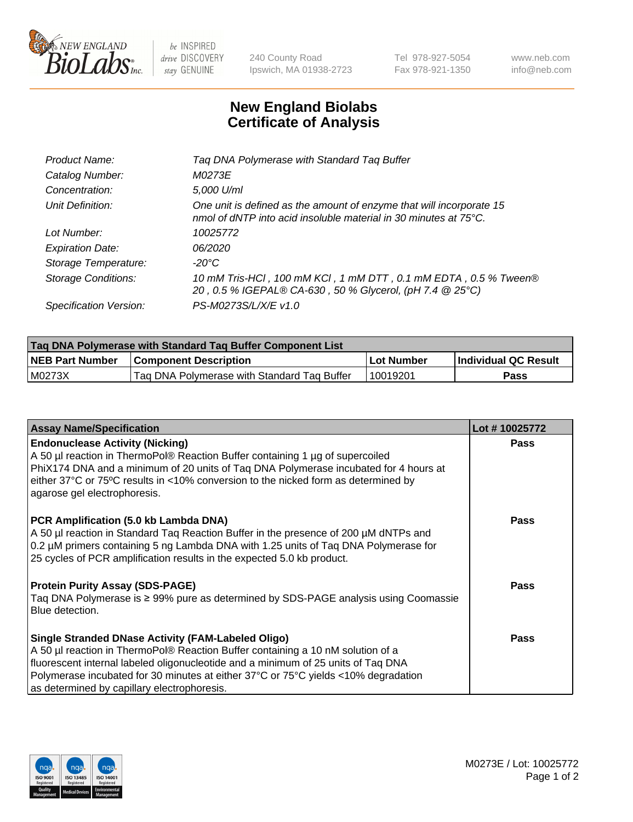

 $be$  INSPIRED drive DISCOVERY stay GENUINE

240 County Road Ipswich, MA 01938-2723 Tel 978-927-5054 Fax 978-921-1350 www.neb.com info@neb.com

## **New England Biolabs Certificate of Analysis**

| Tag DNA Polymerase with Standard Tag Buffer                                                                                              |
|------------------------------------------------------------------------------------------------------------------------------------------|
| M0273E                                                                                                                                   |
| 5,000 U/ml                                                                                                                               |
| One unit is defined as the amount of enzyme that will incorporate 15<br>nmol of dNTP into acid insoluble material in 30 minutes at 75°C. |
| 10025772                                                                                                                                 |
| 06/2020                                                                                                                                  |
| $-20^{\circ}$ C                                                                                                                          |
| 10 mM Tris-HCl, 100 mM KCl, 1 mM DTT, 0.1 mM EDTA, 0.5 % Tween®<br>20, 0.5 % IGEPAL® CA-630, 50 % Glycerol, (pH 7.4 @ 25°C)              |
| PS-M0273S/L/X/E v1.0                                                                                                                     |
|                                                                                                                                          |

| Tag DNA Polymerase with Standard Tag Buffer Component List |                                             |            |                      |  |  |
|------------------------------------------------------------|---------------------------------------------|------------|----------------------|--|--|
| <b>NEB Part Number</b>                                     | <b>Component Description</b>                | Lot Number | Individual QC Result |  |  |
| M0273X                                                     | Tag DNA Polymerase with Standard Tag Buffer | 10019201   | Pass                 |  |  |

| <b>Assay Name/Specification</b>                                                                                                                                                                                                                                                                                                                                        | Lot #10025772 |
|------------------------------------------------------------------------------------------------------------------------------------------------------------------------------------------------------------------------------------------------------------------------------------------------------------------------------------------------------------------------|---------------|
| <b>Endonuclease Activity (Nicking)</b><br>A 50 µl reaction in ThermoPol® Reaction Buffer containing 1 µg of supercoiled<br>PhiX174 DNA and a minimum of 20 units of Taq DNA Polymerase incubated for 4 hours at<br>either 37°C or 75°C results in <10% conversion to the nicked form as determined by<br>agarose gel electrophoresis.                                  | <b>Pass</b>   |
| PCR Amplification (5.0 kb Lambda DNA)<br>A 50 µl reaction in Standard Taq Reaction Buffer in the presence of 200 µM dNTPs and<br>0.2 µM primers containing 5 ng Lambda DNA with 1.25 units of Taq DNA Polymerase for<br>25 cycles of PCR amplification results in the expected 5.0 kb product.                                                                         | <b>Pass</b>   |
| <b>Protein Purity Assay (SDS-PAGE)</b><br>Taq DNA Polymerase is ≥ 99% pure as determined by SDS-PAGE analysis using Coomassie<br>Blue detection.                                                                                                                                                                                                                       | <b>Pass</b>   |
| <b>Single Stranded DNase Activity (FAM-Labeled Oligo)</b><br>A 50 µl reaction in ThermoPol® Reaction Buffer containing a 10 nM solution of a<br>fluorescent internal labeled oligonucleotide and a minimum of 25 units of Taq DNA<br>Polymerase incubated for 30 minutes at either 37°C or 75°C yields <10% degradation<br>as determined by capillary electrophoresis. | Pass          |